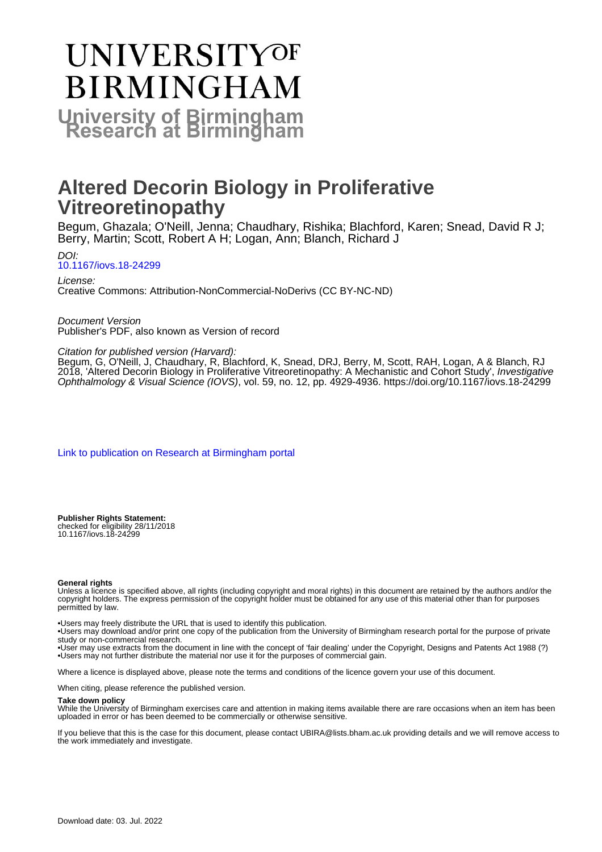# **UNIVERSITYOF BIRMINGHAM**

**University of Birmingham**

# **Altered Decorin Biology in Proliferative Vitreoretinopathy**

Begum, Ghazala; O'Neill, Jenna; Chaudhary, Rishika; Blachford, Karen; Snead, David R J; Berry, Martin; Scott, Robert A H; Logan, Ann; Blanch, Richard J

DOI:

[10.1167/iovs.18-24299](https://doi.org/10.1167/iovs.18-24299)

License: Creative Commons: Attribution-NonCommercial-NoDerivs (CC BY-NC-ND)

Document Version Publisher's PDF, also known as Version of record

# Citation for published version (Harvard):

Begum, G, O'Neill, J, Chaudhary, R, Blachford, K, Snead, DRJ, Berry, M, Scott, RAH, Logan, A & Blanch, RJ 2018, 'Altered Decorin Biology in Proliferative Vitreoretinopathy: A Mechanistic and Cohort Study', Investigative Ophthalmology & Visual Science (IOVS), vol. 59, no. 12, pp. 4929-4936.<https://doi.org/10.1167/iovs.18-24299>

[Link to publication on Research at Birmingham portal](https://birmingham.elsevierpure.com/en/publications/0637bb26-494e-4ab9-a05d-8c190b949d40)

**Publisher Rights Statement:** checked for eligibility 28/11/2018 10.1167/iovs.18-24299

#### **General rights**

Unless a licence is specified above, all rights (including copyright and moral rights) in this document are retained by the authors and/or the copyright holders. The express permission of the copyright holder must be obtained for any use of this material other than for purposes permitted by law.

• Users may freely distribute the URL that is used to identify this publication.

• Users may download and/or print one copy of the publication from the University of Birmingham research portal for the purpose of private study or non-commercial research.

• User may use extracts from the document in line with the concept of 'fair dealing' under the Copyright, Designs and Patents Act 1988 (?) • Users may not further distribute the material nor use it for the purposes of commercial gain.

Where a licence is displayed above, please note the terms and conditions of the licence govern your use of this document.

When citing, please reference the published version.

#### **Take down policy**

While the University of Birmingham exercises care and attention in making items available there are rare occasions when an item has been uploaded in error or has been deemed to be commercially or otherwise sensitive.

If you believe that this is the case for this document, please contact UBIRA@lists.bham.ac.uk providing details and we will remove access to the work immediately and investigate.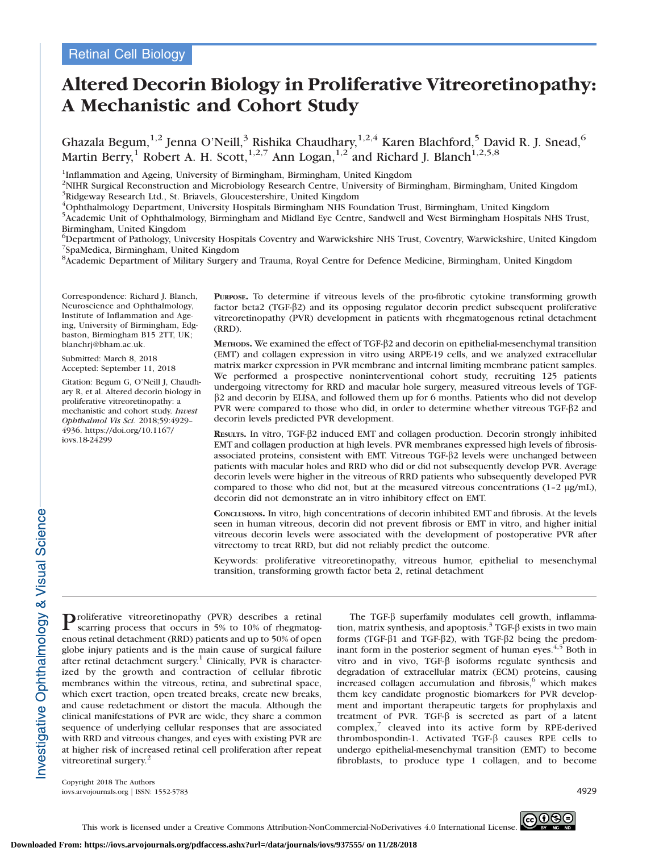# Altered Decorin Biology in Proliferative Vitreoretinopathy: A Mechanistic and Cohort Study

Ghazala Begum, $^{1,2}$  Jenna O'Neill, $^3$  Rishika Chaudhary, $^{1,2,4}$  Karen Blachford, $^5$  David R. J. Snead, $^6$ Martin Berry,<sup>1</sup> Robert A. H. Scott,<sup>1,2,7</sup> Ann Logan,<sup>1,2</sup> and Richard J. Blanch<sup>1,2,5,8</sup>

<sup>1</sup>Inflammation and Ageing, University of Birmingham, Birmingham, United Kingdom

<sup>2</sup>NIHR Surgical Reconstruction and Microbiology Research Centre, University of Birmingham, Birmingham, United Kingdom <sup>3</sup>Ridgeway Research Ltd., St. Briavels, Gloucestershire, United Kingdom

4 Ophthalmology Department, University Hospitals Birmingham NHS Foundation Trust, Birmingham, United Kingdom

<sup>5</sup> Academic Unit of Ophthalmology, Birmingham and Midland Eye Centre, Sandwell and West Birmingham Hospitals NHS Trust, Birmingham, United Kingdom

6 Department of Pathology, University Hospitals Coventry and Warwickshire NHS Trust, Coventry, Warwickshire, United Kingdom 7 SpaMedica, Birmingham, United Kingdom

<sup>8</sup> Academic Department of Military Surgery and Trauma, Royal Centre for Defence Medicine, Birmingham, United Kingdom

Correspondence: Richard J. Blanch, Neuroscience and Ophthalmology, Institute of Inflammation and Ageing, University of Birmingham, Edgbaston, Birmingham B15 2TT, UK; blanchrj@bham.ac.uk.

Submitted: March 8, 2018 Accepted: September 11, 2018

Citation: Begum G, O'Neill J, Chaudhary R, et al. Altered decorin biology in proliferative vitreoretinopathy: a mechanistic and cohort study. Invest Ophthalmol Vis Sci. 2018;59:4929– 4936. https://doi.org/10.1167/ iovs.18-24299

PURPOSE. To determine if vitreous levels of the pro-fibrotic cytokine transforming growth factor beta2 (TGF- $\beta$ 2) and its opposing regulator decorin predict subsequent proliferative vitreoretinopathy (PVR) development in patients with rhegmatogenous retinal detachment (RRD).

METHODS. We examined the effect of TGF- $\beta$ 2 and decorin on epithelial-mesenchymal transition (EMT) and collagen expression in vitro using ARPE-19 cells, and we analyzed extracellular matrix marker expression in PVR membrane and internal limiting membrane patient samples. We performed a prospective noninterventional cohort study, recruiting 125 patients undergoing vitrectomy for RRD and macular hole surgery, measured vitreous levels of TGF- $\beta$ 2 and decorin by ELISA, and followed them up for 6 months. Patients who did not develop PVR were compared to those who did, in order to determine whether vitreous TGF- $\beta$ 2 and decorin levels predicted PVR development.

RESULTS. In vitro, TGF- $\beta$ 2 induced EMT and collagen production. Decorin strongly inhibited EMT and collagen production at high levels. PVR membranes expressed high levels of fibrosisassociated proteins, consistent with EMT. Vitreous TGF-b2 levels were unchanged between patients with macular holes and RRD who did or did not subsequently develop PVR. Average decorin levels were higher in the vitreous of RRD patients who subsequently developed PVR compared to those who did not, but at the measured vitreous concentrations  $(1-2 \mu g/ml)$ , decorin did not demonstrate an in vitro inhibitory effect on EMT.

CONCLUSIONS. In vitro, high concentrations of decorin inhibited EMT and fibrosis. At the levels seen in human vitreous, decorin did not prevent fibrosis or EMT in vitro, and higher initial vitreous decorin levels were associated with the development of postoperative PVR after vitrectomy to treat RRD, but did not reliably predict the outcome.

Keywords: proliferative vitreoretinopathy, vitreous humor, epithelial to mesenchymal transition, transforming growth factor beta 2, retinal detachment

Proliferative vitreoretinopathy (PVR) describes a retinal scarring process that occurs in 5% to 10% of rhegmatogenous retinal detachment (RRD) patients and up to 50% of open globe injury patients and is the main cause of surgical failure after retinal detachment surgery.<sup>1</sup> Clinically, PVR is characterized by the growth and contraction of cellular fibrotic membranes within the vitreous, retina, and subretinal space, which exert traction, open treated breaks, create new breaks, and cause redetachment or distort the macula. Although the clinical manifestations of PVR are wide, they share a common sequence of underlying cellular responses that are associated with RRD and vitreous changes, and eyes with existing PVR are at higher risk of increased retinal cell proliferation after repeat vitreoretinal surgery.<sup>2</sup>

The TGF- $\beta$  superfamily modulates cell growth, inflammation, matrix synthesis, and apoptosis.<sup>3</sup> TGF- $\beta$  exists in two main forms (TGF- $\beta$ 1 and TGF- $\beta$ 2), with TGF- $\beta$ 2 being the predominant form in the posterior segment of human eyes.<sup>4,5</sup> Both in vitro and in vivo, TGF- $\beta$  isoforms regulate synthesis and degradation of extracellular matrix (ECM) proteins, causing increased collagen accumulation and fibrosis, $6$  which makes them key candidate prognostic biomarkers for PVR development and important therapeutic targets for prophylaxis and treatment of PVR. TGF- $\beta$  is secreted as part of a latent  $complex,$ <sup>7</sup> cleaved into its active form by RPE-derived thrombospondin-1. Activated TGF-b causes RPE cells to undergo epithelial-mesenchymal transition (EMT) to become fibroblasts, to produce type 1 collagen, and to become

Copyright 2018 The Authors iovs.arvojournals.org j ISSN: 1552-5783 4929

Investigative Ophthalmology & Visual Science



This work is licensed under a Creative Commons Attribution-NonCommercial-NoDerivatives 4.0 International License.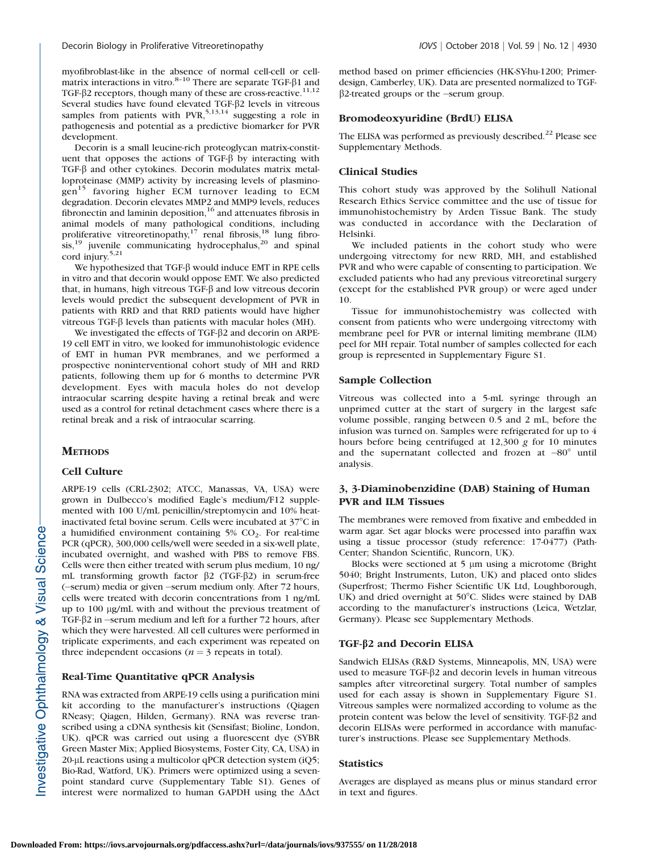myofibroblast-like in the absence of normal cell-cell or cellmatrix interactions in vitro. $8-10$  There are separate TGF- $\beta$ 1 and TGF- $\beta$ 2 receptors, though many of these are cross-reactive.<sup>11,12</sup> Several studies have found elevated TGF- $\beta$ 2 levels in vitreous samples from patients with PVR,  $5,13,14$  suggesting a role in pathogenesis and potential as a predictive biomarker for PVR development.

Decorin is a small leucine-rich proteoglycan matrix-constituent that opposes the actions of TGF- $\beta$  by interacting with TGF- $\beta$  and other cytokines. Decorin modulates matrix metalloproteinase (MMP) activity by increasing levels of plasminogen<sup>15</sup> favoring higher ECM turnover leading to ECM degradation. Decorin elevates MMP2 and MMP9 levels, reduces fibronectin and laminin deposition, $16$  and attenuates fibrosis in animal models of many pathological conditions, including proliferative vitreoretinopathy, $17$  renal fibrosis, $18$  lung fibro- $\sin^{19}$  juvenile communicating hydrocephalus,<sup>20</sup> and spinal cord injury. $5,21$ 

We hypothesized that TGF- $\beta$  would induce EMT in RPE cells in vitro and that decorin would oppose EMT. We also predicted that, in humans, high vitreous TGF- $\beta$  and low vitreous decorin levels would predict the subsequent development of PVR in patients with RRD and that RRD patients would have higher vitreous TGF- $\beta$  levels than patients with macular holes (MH).

We investigated the effects of TGF- $\beta$ 2 and decorin on ARPE-19 cell EMT in vitro, we looked for immunohistologic evidence of EMT in human PVR membranes, and we performed a prospective noninterventional cohort study of MH and RRD patients, following them up for 6 months to determine PVR development. Eyes with macula holes do not develop intraocular scarring despite having a retinal break and were used as a control for retinal detachment cases where there is a retinal break and a risk of intraocular scarring.

# **METHODS**

#### Cell Culture

ARPE-19 cells (CRL-2302; ATCC, Manassas, VA, USA) were grown in Dulbecco's modified Eagle's medium/F12 supplemented with 100 U/mL penicillin/streptomycin and 10% heatinactivated fetal bovine serum. Cells were incubated at  $37^{\circ}$ C in a humidified environment containing  $5\%$  CO<sub>2</sub>. For real-time PCR (qPCR), 300,000 cells/well were seeded in a six-well plate, incubated overnight, and washed with PBS to remove FBS. Cells were then either treated with serum plus medium, 10 ng/ mL transforming growth factor  $\beta$ 2 (TGF- $\beta$ 2) in serum-free (-serum) media or given -serum medium only. After 72 hours, cells were treated with decorin concentrations from 1 ng/mL up to 100 lg/mL with and without the previous treatment of TGF- $\beta$ 2 in  $-$ serum medium and left for a further 72 hours, after which they were harvested. All cell cultures were performed in triplicate experiments, and each experiment was repeated on three independent occasions ( $n = 3$  repeats in total).

# Real-Time Quantitative qPCR Analysis

RNA was extracted from ARPE-19 cells using a purification mini kit according to the manufacturer's instructions (Qiagen RNeasy; Qiagen, Hilden, Germany). RNA was reverse transcribed using a cDNA synthesis kit (Sensifast; Bioline, London, UK). qPCR was carried out using a fluorescent dye (SYBR Green Master Mix; Applied Biosystems, Foster City, CA, USA) in  $20$ -µL reactions using a multicolor qPCR detection system (iQ5; Bio-Rad, Watford, UK). Primers were optimized using a sevenpoint standard curve [\(Supplementary Table S1](https://iovs.arvojournals.org/data/Journals/IOVS/937555/iovs-59-11-53_s02.pdf)). Genes of interest were normalized to human GAPDH using the  $\Delta \Delta ct$ 

method based on primer efficiencies (HK-SY-hu-1200; Primerdesign, Camberley, UK). Data are presented normalized to TGF- $\beta$ 2-treated groups or the -serum group.

## Bromodeoxyuridine (BrdU) ELISA

The ELISA was performed as previously described.<sup>22</sup> Please see [Supplementary Methods.](https://iovs.arvojournals.org/data/Journals/IOVS/937555/iovs-59-11-53_s02.pdf)

# Clinical Studies

This cohort study was approved by the Solihull National Research Ethics Service committee and the use of tissue for immunohistochemistry by Arden Tissue Bank. The study was conducted in accordance with the Declaration of Helsinki.

We included patients in the cohort study who were undergoing vitrectomy for new RRD, MH, and established PVR and who were capable of consenting to participation. We excluded patients who had any previous vitreoretinal surgery (except for the established PVR group) or were aged under 10.

Tissue for immunohistochemistry was collected with consent from patients who were undergoing vitrectomy with membrane peel for PVR or internal limiting membrane (ILM) peel for MH repair. Total number of samples collected for each group is represented in [Supplementary Figure S1.](https://iovs.arvojournals.org/data/Journals/IOVS/937555/iovs-59-11-53_s01.pdf)

# Sample Collection

Vitreous was collected into a 5-mL syringe through an unprimed cutter at the start of surgery in the largest safe volume possible, ranging between 0.5 and 2 mL, before the infusion was turned on. Samples were refrigerated for up to 4 hours before being centrifuged at 12,300 g for 10 minutes and the supernatant collected and frozen at  $-80^\circ$  until analysis.

# 3, 3-Diaminobenzidine (DAB) Staining of Human PVR and ILM Tissues

The membranes were removed from fixative and embedded in warm agar. Set agar blocks were processed into paraffin wax using a tissue processor (study reference: 17-0477) (Path-Center; Shandon Scientific, Runcorn, UK).

Blocks were sectioned at 5 µm using a microtome (Bright) 5040; Bright Instruments, Luton, UK) and placed onto slides (Superfrost; Thermo Fisher Scientific UK Ltd, Loughborough, UK) and dried overnight at 50°C. Slides were stained by DAB according to the manufacturer's instructions (Leica, Wetzlar, Germany). Please see [Supplementary Methods.](https://iovs.arvojournals.org/data/Journals/IOVS/937555/iovs-59-11-53_s02.pdf)

# TGF-b2 and Decorin ELISA

Sandwich ELISAs (R&D Systems, Minneapolis, MN, USA) were used to measure TGF-b2 and decorin levels in human vitreous samples after vitreoretinal surgery. Total number of samples used for each assay is shown in [Supplementary Figure S1](https://iovs.arvojournals.org/data/Journals/IOVS/937555/iovs-59-11-53_s01.pdf). Vitreous samples were normalized according to volume as the protein content was below the level of sensitivity. TGF- $\beta$ 2 and decorin ELISAs were performed in accordance with manufacturer's instructions. Please see [Supplementary Methods](https://iovs.arvojournals.org/data/Journals/IOVS/937555/iovs-59-11-53_s02.pdf).

#### **Statistics**

Averages are displayed as means plus or minus standard error in text and figures.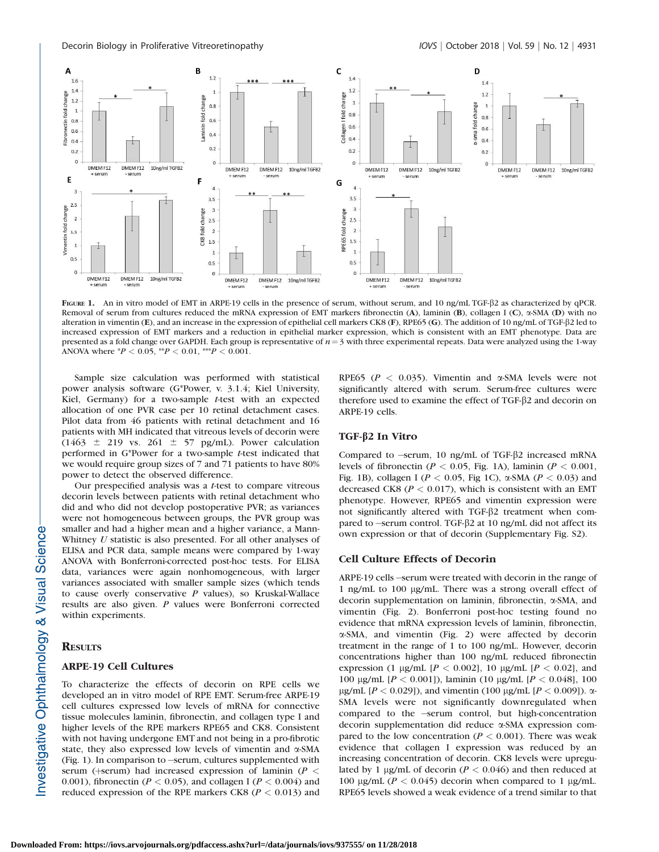

FIGURE 1. An in vitro model of EMT in ARPE-19 cells in the presence of serum, without serum, and 10 ng/mL TGF- $\beta$ 2 as characterized by qPCR. Removal of serum from cultures reduced the mRNA expression of EMT markers fibronectin (A), laminin (B), collagen I (C),  $\alpha$ -SMA (D) with no alteration in vimentin (E), and an increase in the expression of epithelial cell markers CK8 (F), RPE65 (G). The addition of 10 ng/mL of TGF- $\beta$ 2 led to increased expression of EMT markers and a reduction in epithelial marker expression, which is consistent with an EMT phenotype. Data are presented as a fold change over GAPDH. Each group is representative of  $n=3$  with three experimental repeats. Data were analyzed using the 1-way ANOVA where  ${}^*P$  < 0.05,  ${}^{**}P$  < 0.01,  ${}^{***}P$  < 0.001.

Sample size calculation was performed with statistical power analysis software (G\*Power, v. 3.1.4; Kiel University, Kiel, Germany) for a two-sample t-test with an expected allocation of one PVR case per 10 retinal detachment cases. Pilot data from 46 patients with retinal detachment and 16 patients with MH indicated that vitreous levels of decorin were (1463  $\pm$  219 vs. 261  $\pm$  57 pg/mL). Power calculation performed in G\*Power for a two-sample t-test indicated that we would require group sizes of 7 and 71 patients to have 80% power to detect the observed difference.

Our prespecified analysis was a t-test to compare vitreous decorin levels between patients with retinal detachment who did and who did not develop postoperative PVR; as variances were not homogeneous between groups, the PVR group was smaller and had a higher mean and a higher variance, a Mann-Whitney U statistic is also presented. For all other analyses of ELISA and PCR data, sample means were compared by 1-way ANOVA with Bonferroni-corrected post-hoc tests. For ELISA data, variances were again nonhomogeneous, with larger variances associated with smaller sample sizes (which tends to cause overly conservative  $P$  values), so Kruskal-Wallace results are also given. P values were Bonferroni corrected within experiments.

#### **RESULTS**

#### ARPE-19 Cell Cultures

To characterize the effects of decorin on RPE cells we developed an in vitro model of RPE EMT. Serum-free ARPE-19 cell cultures expressed low levels of mRNA for connective tissue molecules laminin, fibronectin, and collagen type I and higher levels of the RPE markers RPE65 and CK8. Consistent with not having undergone EMT and not being in a pro-fibrotic state, they also expressed low levels of vimentin and a-SMA (Fig. 1). In comparison to -serum, cultures supplemented with serum (+serum) had increased expression of laminin ( $P <$ 0.001), fibronectin ( $P < 0.05$ ), and collagen I ( $P < 0.004$ ) and reduced expression of the RPE markers CK8 ( $P < 0.013$ ) and

RPE65 ( $P < 0.035$ ). Vimentin and  $\alpha$ -SMA levels were not significantly altered with serum. Serum-free cultures were therefore used to examine the effect of TGF- $\beta$ 2 and decorin on ARPE-19 cells.

#### TGF-β2 In Vitro

Compared to -serum, 10 ng/mL of TGF- $\beta$ 2 increased mRNA levels of fibronectin ( $P < 0.05$ , Fig. 1A), laminin ( $P < 0.001$ , Fig. 1B), collagen I ( $P < 0.05$ , Fig 1C),  $\alpha$ -SMA ( $P < 0.03$ ) and decreased CK8 ( $P < 0.017$ ), which is consistent with an EMT phenotype. However, RPE65 and vimentin expression were not significantly altered with TGF-β2 treatment when compared to -serum control. TGF- $\beta$ 2 at 10 ng/mL did not affect its own expression or that of decorin [\(Supplementary Fig. S2\)](https://iovs.arvojournals.org/data/Journals/IOVS/937555/iovs-59-11-53_s01.pdf).

#### Cell Culture Effects of Decorin

ARPE-19 cells -serum were treated with decorin in the range of 1 ng/mL to 100 µg/mL. There was a strong overall effect of decorin supplementation on laminin, fibronectin, a-SMA, and vimentin (Fig. 2). Bonferroni post-hoc testing found no evidence that mRNA expression levels of laminin, fibronectin, a-SMA, and vimentin (Fig. 2) were affected by decorin treatment in the range of 1 to 100 ng/mL. However, decorin concentrations higher than 100 ng/mL reduced fibronectin expression (1 µg/mL  $[P < 0.002]$ , 10 µg/mL  $[P < 0.02]$ , and 100 µg/mL [ $P < 0.001$ ]), laminin (10 µg/mL [ $P < 0.048$ ], 100 μg/mL [ $P < 0.029$ ]), and vimentin (100 μg/mL [ $P < 0.009$ ]). α-SMA levels were not significantly downregulated when compared to the -serum control, but high-concentration decorin supplementation did reduce a-SMA expression compared to the low concentration ( $P < 0.001$ ). There was weak evidence that collagen I expression was reduced by an increasing concentration of decorin. CK8 levels were upregulated by 1 µg/mL of decorin ( $P < 0.046$ ) and then reduced at 100  $\mu$ g/mL (P < 0.045) decorin when compared to 1  $\mu$ g/mL. RPE65 levels showed a weak evidence of a trend similar to that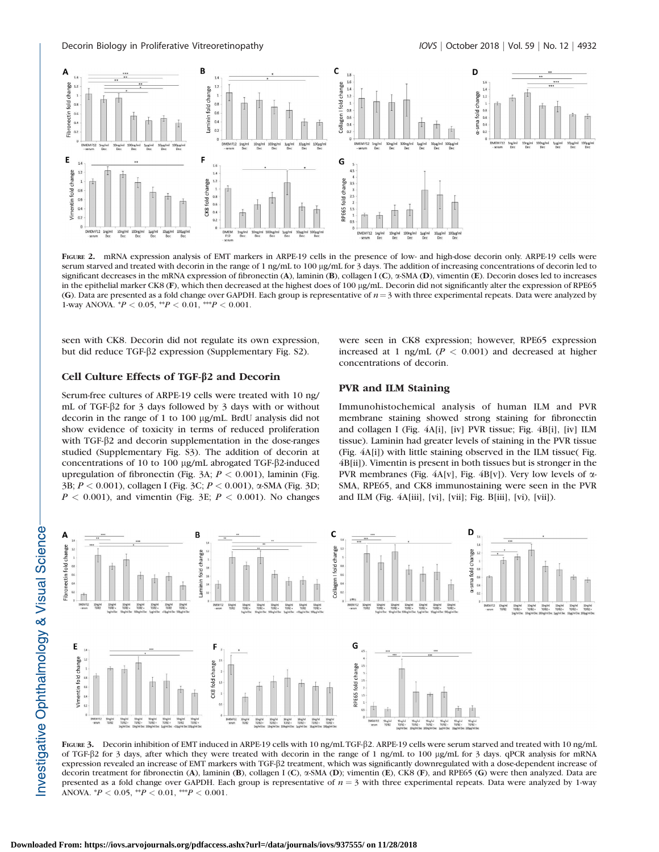

FIGURE 2. mRNA expression analysis of EMT markers in ARPE-19 cells in the presence of low- and high-dose decorin only. ARPE-19 cells were serum starved and treated with decorin in the range of 1 ng/mL to 100 µg/mL for 3 days. The addition of increasing concentrations of decorin led to significant decreases in the mRNA expression of fibronectin (A), laminin (B), collagen I (C),  $\alpha$ -SMA (D), vimentin (E). Decorin doses led to increases in the epithelial marker CK8 (F), which then decreased at the highest does of 100 µg/mL. Decorin did not significantly alter the expression of RPE65 (G). Data are presented as a fold change over GAPDH. Each group is representative of  $n=3$  with three experimental repeats. Data were analyzed by 1-way ANOVA.  $^{*}P < 0.05$ ,  $^{**}P < 0.01$ ,  $^{***}P < 0.001$ .

seen with CK8. Decorin did not regulate its own expression, but did reduce TGF-b2 expression ([Supplementary Fig. S2](https://iovs.arvojournals.org/data/Journals/IOVS/937555/iovs-59-11-53_s01.pdf)).

#### Cell Culture Effects of TGF-b2 and Decorin

Serum-free cultures of ARPE-19 cells were treated with 10 ng/ mL of TGF-β2 for 3 days followed by 3 days with or without decorin in the range of 1 to 100 µg/mL. BrdU analysis did not show evidence of toxicity in terms of reduced proliferation with TGF-β2 and decorin supplementation in the dose-ranges studied ([Supplementary Fig. S3](https://iovs.arvojournals.org/data/Journals/IOVS/937555/iovs-59-11-53_s01.pdf)). The addition of decorin at concentrations of 10 to 100 µg/mL abrogated TGF- $\beta$ 2-induced upregulation of fibronectin (Fig. 3A;  $P < 0.001$ ), laminin (Fig. 3B; P < 0.001), collagen I (Fig. 3C; P < 0.001), a-SMA (Fig. 3D;  $P < 0.001$ ), and vimentin (Fig. 3E;  $P < 0.001$ ). No changes were seen in CK8 expression; however, RPE65 expression increased at 1 ng/mL ( $P < 0.001$ ) and decreased at higher concentrations of decorin.

# PVR and ILM Staining

Immunohistochemical analysis of human ILM and PVR membrane staining showed strong staining for fibronectin and collagen I (Fig. 4A[i], [iv] PVR tissue; Fig. 4B[i], [iv] ILM tissue). Laminin had greater levels of staining in the PVR tissue (Fig. 4A[i]) with little staining observed in the ILM tissue( Fig. 4B[ii]). Vimentin is present in both tissues but is stronger in the PVR membranes (Fig.  $4A[v]$ , Fig.  $4B[v]$ ). Very low levels of  $\alpha$ -SMA, RPE65, and CK8 immunostaining were seen in the PVR and ILM (Fig. 4A[iii], [vi], [vii]; Fig. B[iii], [vi), [vii]).



FIGURE 3. Decorin inhibition of EMT induced in ARPE-19 cells with 10 ng/mL TGF- $\beta$ 2. ARPE-19 cells were serum starved and treated with 10 ng/mL of TGF-b2 for 3 days, after which they were treated with decorin in the range of 1 ng/mL to 100 lg/mL for 3 days. qPCR analysis for mRNA expression revealed an increase of EMT markers with TGF-b2 treatment, which was significantly downregulated with a dose-dependent increase of decorin treatment for fibronectin (A), laminin (B), collagen I (C),  $\alpha$ -SMA (D); vimentin (E), CK8 (F), and RPE65 (G) were then analyzed. Data are presented as a fold change over GAPDH. Each group is representative of  $n = 3$  with three experimental repeats. Data were analyzed by 1-way ANOVA.  ${}^*P$  < 0.05,  ${}^{**}P$  < 0.01,  ${}^{***}P$  < 0.001.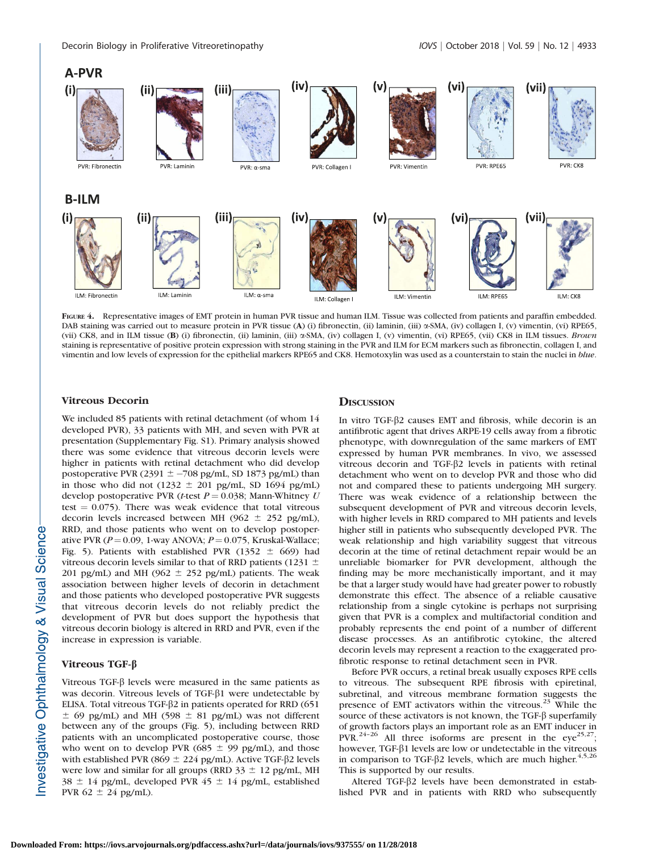



FIGURE 4. Representative images of EMT protein in human PVR tissue and human ILM. Tissue was collected from patients and paraffin embedded. DAB staining was carried out to measure protein in PVR tissue (A) (i) fibronectin, (ii) laminin, (iii) a-SMA, (iv) collagen I, (v) vimentin, (vi) RPE65, (vii) CK8, and in ILM tissue (B) (i) fibronectin, (ii) laminin, (iii) a-SMA, (iv) collagen I, (v) vimentin, (vi) RPE65, (vii) CK8 in ILM tissues. Brown staining is representative of positive protein expression with strong staining in the PVR and ILM for ECM markers such as fibronectin, collagen I, and vimentin and low levels of expression for the epithelial markers RPE65 and CK8. Hemotoxylin was used as a counterstain to stain the nuclei in *blue*.

#### Vitreous Decorin

We included 85 patients with retinal detachment (of whom 14 developed PVR), 33 patients with MH, and seven with PVR at presentation ([Supplementary Fig. S1\)](https://iovs.arvojournals.org/data/Journals/IOVS/937555/iovs-59-11-53_s01.pdf). Primary analysis showed there was some evidence that vitreous decorin levels were higher in patients with retinal detachment who did develop postoperative PVR (2391  $\pm$  -708 pg/mL, SD 1873 pg/mL) than in those who did not (1232  $\pm$  201 pg/mL, SD 1694 pg/mL) develop postoperative PVR (t-test  $P = 0.038$ ; Mann-Whitney U test  $= 0.075$ ). There was weak evidence that total vitreous decorin levels increased between MH (962  $\pm$  252 pg/mL), RRD, and those patients who went on to develop postoperative PVR ( $P = 0.09$ , 1-way ANOVA;  $P = 0.075$ , Kruskal-Wallace; Fig. 5). Patients with established PVR (1352  $\pm$  669) had vitreous decorin levels similar to that of RRD patients (1231  $\pm$ 201 pg/mL) and MH (962  $\pm$  252 pg/mL) patients. The weak association between higher levels of decorin in detachment and those patients who developed postoperative PVR suggests that vitreous decorin levels do not reliably predict the development of PVR but does support the hypothesis that vitreous decorin biology is altered in RRD and PVR, even if the increase in expression is variable.

# Vitreous TGF-b

Vitreous TGF- $\beta$  levels were measured in the same patients as was decorin. Vitreous levels of TGF- $\beta$ 1 were undetectable by ELISA. Total vitreous TGF- $\beta$ 2 in patients operated for RRD (651)  $\pm$  69 pg/mL) and MH (598  $\pm$  81 pg/mL) was not different between any of the groups (Fig. 5), including between RRD patients with an uncomplicated postoperative course, those who went on to develop PVR (685  $\pm$  99 pg/mL), and those with established PVR (869  $\pm$  224 pg/mL). Active TGF- $\beta$ 2 levels were low and similar for all groups (RRD  $33 \pm 12$  pg/mL, MH 38  $\pm$  14 pg/mL, developed PVR 45  $\pm$  14 pg/mL, established PVR  $62 \pm 24$  pg/mL).

## **DISCUSSION**

In vitro TGF- $\beta$ 2 causes EMT and fibrosis, while decorin is an antifibrotic agent that drives ARPE-19 cells away from a fibrotic phenotype, with downregulation of the same markers of EMT expressed by human PVR membranes. In vivo, we assessed vitreous decorin and TGF-b2 levels in patients with retinal detachment who went on to develop PVR and those who did not and compared these to patients undergoing MH surgery. There was weak evidence of a relationship between the subsequent development of PVR and vitreous decorin levels, with higher levels in RRD compared to MH patients and levels higher still in patients who subsequently developed PVR. The weak relationship and high variability suggest that vitreous decorin at the time of retinal detachment repair would be an unreliable biomarker for PVR development, although the finding may be more mechanistically important, and it may be that a larger study would have had greater power to robustly demonstrate this effect. The absence of a reliable causative relationship from a single cytokine is perhaps not surprising given that PVR is a complex and multifactorial condition and probably represents the end point of a number of different disease processes. As an antifibrotic cytokine, the altered decorin levels may represent a reaction to the exaggerated profibrotic response to retinal detachment seen in PVR.

Before PVR occurs, a retinal break usually exposes RPE cells to vitreous. The subsequent RPE fibrosis with epiretinal, subretinal, and vitreous membrane formation suggests the presence of EMT activators within the vitreous.<sup>23</sup> While the source of these activators is not known, the  $TGF-<sub>\beta</sub>$  superfamily of growth factors plays an important role as an EMT inducer in PVR.<sup>24-26</sup> All three isoforms are present in the  $eye^{25,27}$ ; however, TGF- $\beta$ 1 levels are low or undetectable in the vitreous in comparison to TGF- $\beta$ 2 levels, which are much higher.<sup>4,5,26</sup> This is supported by our results.

Altered TGF-β2 levels have been demonstrated in established PVR and in patients with RRD who subsequently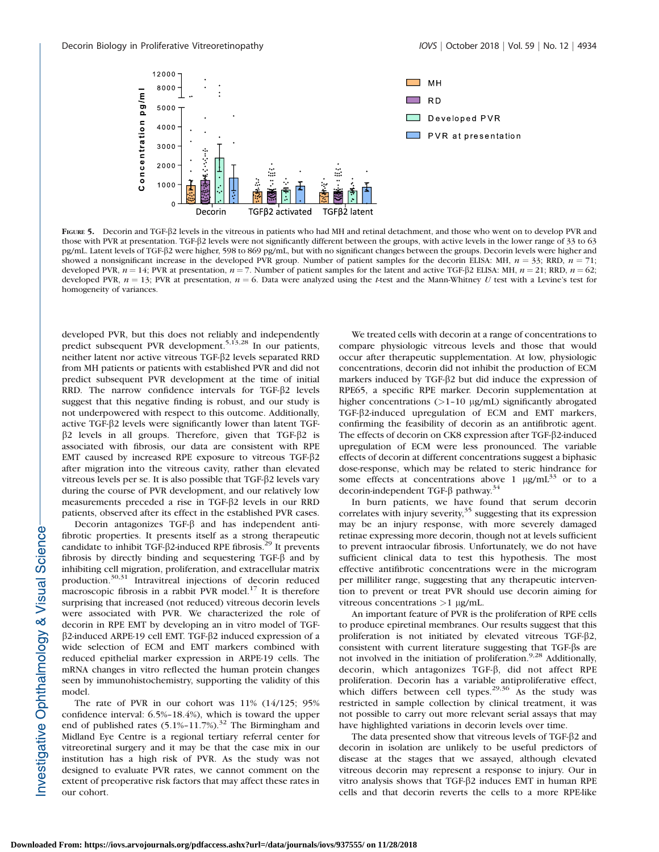

FIGURE 5. Decorin and TGF- $\beta$ 2 levels in the vitreous in patients who had MH and retinal detachment, and those who went on to develop PVR and those with PVR at presentation. TGF- $\beta$ 2 levels were not significantly different between the groups, with active levels in the lower range of 33 to 63 pg/mL. Latent levels of TGF-b2 were higher, 598 to 869 pg/mL, but with no significant changes between the groups. Decorin levels were higher and showed a nonsignificant increase in the developed PVR group. Number of patient samples for the decorin ELISA: MH,  $n = 33$ ; RRD,  $n = 71$ ; developed PVR,  $n = 14$ ; PVR at presentation,  $n = 7$ . Number of patient samples for the latent and active TGF- $\beta$ 2 ELISA: MH,  $n = 21$ ; RRD,  $n = 62$ ; developed PVR,  $n = 13$ ; PVR at presentation,  $n = 6$ . Data were analyzed using the t-test and the Mann-Whitney U test with a Levine's test for homogeneity of variances.

developed PVR, but this does not reliably and independently predict subsequent PVR development.<sup>5,13,28</sup> In our patients, neither latent nor active vitreous TGF-b2 levels separated RRD from MH patients or patients with established PVR and did not predict subsequent PVR development at the time of initial RRD. The narrow confidence intervals for TGF- $\beta$ 2 levels suggest that this negative finding is robust, and our study is not underpowered with respect to this outcome. Additionally, active TGF- $\beta$ 2 levels were significantly lower than latent TGF- $\beta$ 2 levels in all groups. Therefore, given that TGF- $\beta$ 2 is associated with fibrosis, our data are consistent with RPE EMT caused by increased RPE exposure to vitreous TGF-b2 after migration into the vitreous cavity, rather than elevated vitreous levels per se. It is also possible that TGF- $\beta$ 2 levels vary during the course of PVR development, and our relatively low measurements preceded a rise in TGF-b2 levels in our RRD patients, observed after its effect in the established PVR cases.

Decorin antagonizes TGF-β and has independent antifibrotic properties. It presents itself as a strong therapeutic candidate to inhibit TGF- $\beta$ 2-induced RPE fibrosis.<sup>29</sup> It prevents fibrosis by directly binding and sequestering TGF- $\beta$  and by inhibiting cell migration, proliferation, and extracellular matrix production.<sup>30,31</sup> Intravitreal injections of decorin reduced macroscopic fibrosis in a rabbit PVR model. $17$  It is therefore surprising that increased (not reduced) vitreous decorin levels were associated with PVR. We characterized the role of decorin in RPE EMT by developing an in vitro model of TGF- $\beta$ 2-induced ARPE-19 cell EMT. TGF- $\beta$ 2 induced expression of a wide selection of ECM and EMT markers combined with reduced epithelial marker expression in ARPE-19 cells. The mRNA changes in vitro reflected the human protein changes seen by immunohistochemistry, supporting the validity of this model.

The rate of PVR in our cohort was 11% (14/125; 95% confidence interval: 6.5%–18.4%), which is toward the upper end of published rates  $(5.1\% - 11.7\%)$ .<sup>32</sup> The Birmingham and Midland Eye Centre is a regional tertiary referral center for vitreoretinal surgery and it may be that the case mix in our institution has a high risk of PVR. As the study was not designed to evaluate PVR rates, we cannot comment on the extent of preoperative risk factors that may affect these rates in our cohort.

We treated cells with decorin at a range of concentrations to compare physiologic vitreous levels and those that would occur after therapeutic supplementation. At low, physiologic concentrations, decorin did not inhibit the production of ECM markers induced by TGF- $\beta$ 2 but did induce the expression of RPE65, a specific RPE marker. Decorin supplementation at higher concentrations  $(>1-10 \text{ µg/mL})$  significantly abrogated TGF- $\beta$ 2-induced upregulation of ECM and EMT markers, confirming the feasibility of decorin as an antifibrotic agent. The effects of decorin on CK8 expression after TGF- $\beta$ 2-induced upregulation of ECM were less pronounced. The variable effects of decorin at different concentrations suggest a biphasic dose-response, which may be related to steric hindrance for some effects at concentrations above 1  $\mu$ g/mL<sup>33</sup> or to a decorin-independent TGF- $\beta$  pathway.<sup>34</sup>

In burn patients, we have found that serum decorin correlates with injury severity, $35$  suggesting that its expression may be an injury response, with more severely damaged retinae expressing more decorin, though not at levels sufficient to prevent intraocular fibrosis. Unfortunately, we do not have sufficient clinical data to test this hypothesis. The most effective antifibrotic concentrations were in the microgram per milliliter range, suggesting that any therapeutic intervention to prevent or treat PVR should use decorin aiming for vitreous concentrations  $>1$  µg/mL.

An important feature of PVR is the proliferation of RPE cells to produce epiretinal membranes. Our results suggest that this proliferation is not initiated by elevated vitreous TGF- $\beta$ 2, consistent with current literature suggesting that TGF-bs are not involved in the initiation of proliferation. $9.28$  Additionally, decorin, which antagonizes TGF-b, did not affect RPE proliferation. Decorin has a variable antiproliferative effect, which differs between cell types.<sup>29,36</sup> As the study was restricted in sample collection by clinical treatment, it was not possible to carry out more relevant serial assays that may have highlighted variations in decorin levels over time.

The data presented show that vitreous levels of TGF- $\beta$ 2 and decorin in isolation are unlikely to be useful predictors of disease at the stages that we assayed, although elevated vitreous decorin may represent a response to injury. Our in vitro analysis shows that TGF-b2 induces EMT in human RPE cells and that decorin reverts the cells to a more RPE-like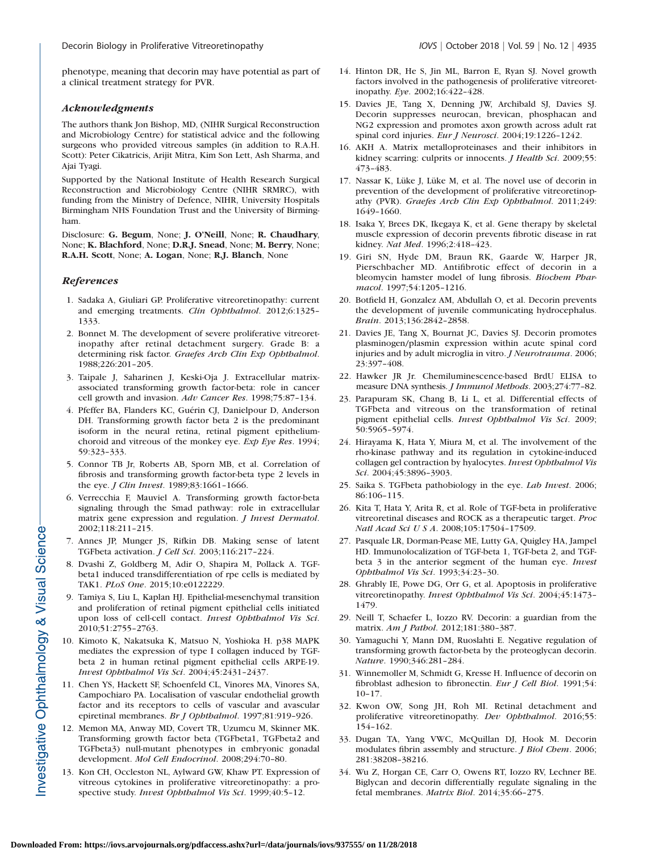phenotype, meaning that decorin may have potential as part of a clinical treatment strategy for PVR.

#### Acknowledgments

The authors thank Jon Bishop, MD, (NIHR Surgical Reconstruction and Microbiology Centre) for statistical advice and the following surgeons who provided vitreous samples (in addition to R.A.H. Scott): Peter Cikatricis, Arijit Mitra, Kim Son Lett, Ash Sharma, and Ajai Tyagi.

Supported by the National Institute of Health Research Surgical Reconstruction and Microbiology Centre (NIHR SRMRC), with funding from the Ministry of Defence, NIHR, University Hospitals Birmingham NHS Foundation Trust and the University of Birmingham.

Disclosure: G. Begum, None; J. O'Neill, None; R. Chaudhary, None; K. Blachford, None; D.R.J. Snead, None; M. Berry, None; R.A.H. Scott, None; A. Logan, None; R.J. Blanch, None

#### References

- 1. Sadaka A, Giuliari GP. Proliferative vitreoretinopathy: current and emerging treatments. Clin Ophthalmol. 2012;6:1325– 1333.
- 2. Bonnet M. The development of severe proliferative vitreoretinopathy after retinal detachment surgery. Grade B: a determining risk factor. Graefes Arch Clin Exp Ophthalmol. 1988;226:201–205.
- 3. Taipale J, Saharinen J, Keski-Oja J. Extracellular matrixassociated transforming growth factor-beta: role in cancer cell growth and invasion. Adv Cancer Res. 1998;75:87–134.
- 4. Pfeffer BA, Flanders KC, Guérin CJ, Danielpour D, Anderson DH. Transforming growth factor beta 2 is the predominant isoform in the neural retina, retinal pigment epitheliumchoroid and vitreous of the monkey eye. Exp Eye Res. 1994; 59:323–333.
- 5. Connor TB Jr, Roberts AB, Sporn MB, et al. Correlation of fibrosis and transforming growth factor-beta type 2 levels in the eye. *J Clin Invest*. 1989;83:1661-1666.
- 6. Verrecchia F, Mauviel A. Transforming growth factor-beta signaling through the Smad pathway: role in extracellular matrix gene expression and regulation. J Invest Dermatol. 2002;118:211–215.
- 7. Annes JP, Munger JS, Rifkin DB. Making sense of latent TGFbeta activation. J Cell Sci. 2003;116:217–224.
- 8. Dvashi Z, Goldberg M, Adir O, Shapira M, Pollack A. TGFbeta1 induced transdifferentiation of rpe cells is mediated by TAK1. PLoS One. 2015;10:e0122229.
- 9. Tamiya S, Liu L, Kaplan HJ. Epithelial-mesenchymal transition and proliferation of retinal pigment epithelial cells initiated upon loss of cell-cell contact. Invest Ophthalmol Vis Sci. 2010;51:2755–2763.
- 10. Kimoto K, Nakatsuka K, Matsuo N, Yoshioka H. p38 MAPK mediates the expression of type I collagen induced by TGFbeta 2 in human retinal pigment epithelial cells ARPE-19. Invest Ophthalmol Vis Sci. 2004;45:2431–2437.
- 11. Chen YS, Hackett SF, Schoenfeld CL, Vinores MA, Vinores SA, Campochiaro PA. Localisation of vascular endothelial growth factor and its receptors to cells of vascular and avascular epiretinal membranes. Br J Ophthalmol. 1997;81:919–926.
- 12. Memon MA, Anway MD, Covert TR, Uzumcu M, Skinner MK. Transforming growth factor beta (TGFbeta1, TGFbeta2 and TGFbeta3) null-mutant phenotypes in embryonic gonadal development. Mol Cell Endocrinol. 2008;294:70–80.
- 13. Kon CH, Occleston NL, Aylward GW, Khaw PT. Expression of vitreous cytokines in proliferative vitreoretinopathy: a prospective study. Invest Ophthalmol Vis Sci. 1999;40:5-12.
- 14. Hinton DR, He S, Jin ML, Barron E, Ryan SJ. Novel growth factors involved in the pathogenesis of proliferative vitreoretinopathy. Eye. 2002;16:422–428.
- 15. Davies JE, Tang X, Denning JW, Archibald SJ, Davies SJ. Decorin suppresses neurocan, brevican, phosphacan and NG2 expression and promotes axon growth across adult rat spinal cord injuries. Eur J Neurosci. 2004;19:1226-1242.
- 16. AKH A. Matrix metalloproteinases and their inhibitors in kidney scarring: culprits or innocents. *J Health Sci*. 2009;55: 473–483.
- 17. Nassar K, Lüke J, Lüke M, et al. The novel use of decorin in prevention of the development of proliferative vitreoretinopathy (PVR). Graefes Arch Clin Exp Ophthalmol. 2011;249: 1649–1660.
- 18. Isaka Y, Brees DK, Ikegaya K, et al. Gene therapy by skeletal muscle expression of decorin prevents fibrotic disease in rat kidney. Nat Med. 1996;2:418–423.
- 19. Giri SN, Hyde DM, Braun RK, Gaarde W, Harper JR, Pierschbacher MD. Antifibrotic effect of decorin in a bleomycin hamster model of lung fibrosis. Biochem Pharmacol. 1997;54:1205–1216.
- 20. Botfield H, Gonzalez AM, Abdullah O, et al. Decorin prevents the development of juvenile communicating hydrocephalus. Brain. 2013;136:2842–2858.
- 21. Davies JE, Tang X, Bournat JC, Davies SJ. Decorin promotes plasminogen/plasmin expression within acute spinal cord injuries and by adult microglia in vitro. *J Neurotrauma*. 2006; 23:397–408.
- 22. Hawker JR Jr. Chemiluminescence-based BrdU ELISA to measure DNA synthesis. J Immunol Methods. 2003;274:77–82.
- 23. Parapuram SK, Chang B, Li L, et al. Differential effects of TGFbeta and vitreous on the transformation of retinal pigment epithelial cells. Invest Ophthalmol Vis Sci. 2009; 50:5965–5974.
- 24. Hirayama K, Hata Y, Miura M, et al. The involvement of the rho-kinase pathway and its regulation in cytokine-induced collagen gel contraction by hyalocytes. Invest Ophthalmol Vis Sci. 2004;45:3896–3903.
- 25. Saika S. TGFbeta pathobiology in the eye. Lab Invest. 2006; 86:106–115.
- 26. Kita T, Hata Y, Arita R, et al. Role of TGF-beta in proliferative vitreoretinal diseases and ROCK as a therapeutic target. Proc Natl Acad Sci U S A. 2008;105:17504–17509.
- 27. Pasquale LR, Dorman-Pease ME, Lutty GA, Quigley HA, Jampel HD. Immunolocalization of TGF-beta 1, TGF-beta 2, and TGFbeta 3 in the anterior segment of the human eye. Invest Ophthalmol Vis Sci. 1993;34:23–30.
- 28. Ghrably IE, Powe DG, Orr G, et al. Apoptosis in proliferative vitreoretinopathy. Invest Ophthalmol Vis Sci. 2004;45:1473– 1479.
- 29. Neill T, Schaefer L, Iozzo RV. Decorin: a guardian from the matrix. Am J Pathol. 2012;181:380–387.
- 30. Yamaguchi Y, Mann DM, Ruoslahti E. Negative regulation of transforming growth factor-beta by the proteoglycan decorin. Nature. 1990;346:281–284.
- 31. Winnemoller M, Schmidt G, Kresse H. Influence of decorin on fibroblast adhesion to fibronectin. Eur J Cell Biol. 1991;54: 10–17.
- 32. Kwon OW, Song JH, Roh MI. Retinal detachment and proliferative vitreoretinopathy. Dev Ophthalmol. 2016;55: 154–162.
- 33. Dugan TA, Yang VWC, McQuillan DJ, Hook M. Decorin modulates fibrin assembly and structure. *J Biol Chem.* 2006; 281:38208–38216.
- 34. Wu Z, Horgan CE, Carr O, Owens RT, Iozzo RV, Lechner BE. Biglycan and decorin differentially regulate signaling in the fetal membranes. Matrix Biol. 2014;35:66–275.